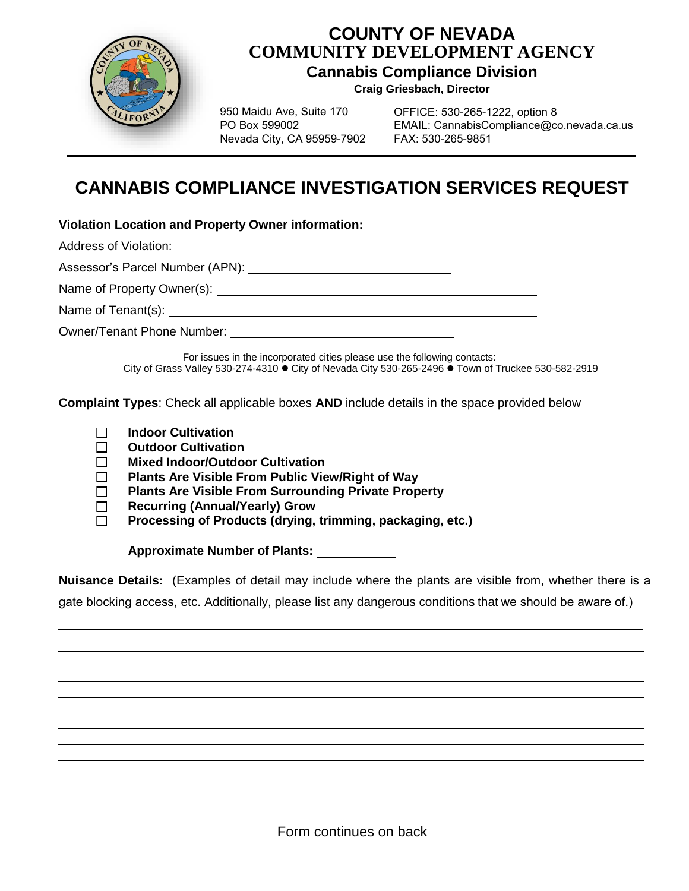

## **COUNTY OF NEVADA COMMUNITY DEVELOPMENT AGENCY**

**Cannabis Compliance Division** 

**Craig Griesbach, Director**

950 Maidu Ave, Suite 170 PO Box 599002 Nevada City, CA 95959-7902

OFFICE: 530-265-1222, option 8 EMAIL: CannabisCompliance@co.nevada.ca.us FAX: 530-265-9851

## **CANNABIS COMPLIANCE INVESTIGATION SERVICES REQUEST**

**Violation Location and Property Owner information:**

Address of Violation:

Assessor's Parcel Number (APN): Network and the settlement of the settlement of the settlement of the settlement of the settlement of the settlement of the settlement of the settlement of the settlement of the settlement o

Name of Property Owner(s):

Name of Tenant(s):  $\blacksquare$ 

Owner/Tenant Phone Number:

For issues in the incorporated cities please use the following contacts: City of Grass Valley 530-274-4310  $\bullet$  City of Nevada City 530-265-2496  $\bullet$  Town of Truckee 530-582-2919

**Complaint Types**: Check all applicable boxes **AND** include details in the space provided below

- **Indoor Cultivation**
- **Outdoor Cultivation**
- **Mixed Indoor/Outdoor Cultivation**
- **Plants Are Visible From Public View/Right of Way**
- **Plants Are Visible From Surrounding Private Property**
- **Recurring (Annual/Yearly) Grow**
- **Processing of Products (drying, trimming, packaging, etc.)**

**Approximate Number of Plants:**

**Nuisance Details:** (Examples of detail may include where the plants are visible from, whether there is a gate blocking access, etc. Additionally, please list any dangerous conditions that we should be aware of.)

Form continues on back